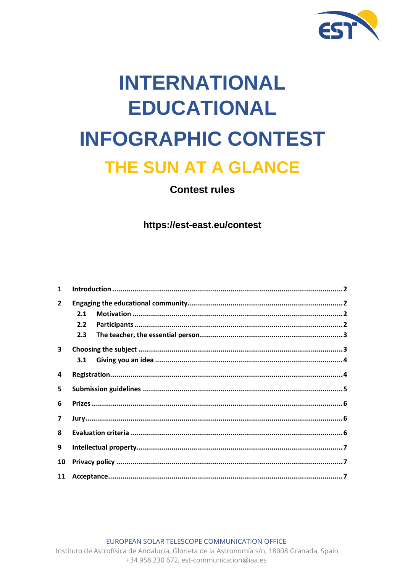

# **INTERNATIONAL EDUCATIONAL INFOGRAPHIC CONTEST** THE SUN AT A GLANCE

# **Contest rules**

https://est-east.eu/contest

| 1                       |     |  |
|-------------------------|-----|--|
| $\overline{2}$          |     |  |
|                         | 2.1 |  |
|                         | 2.2 |  |
|                         | 2.3 |  |
| 3                       |     |  |
|                         | 3.1 |  |
| 4                       |     |  |
| 5                       |     |  |
| 6                       |     |  |
| $\overline{\mathbf{z}}$ |     |  |
| 8                       |     |  |
| 9                       |     |  |
| 10                      |     |  |
| 11                      |     |  |

EUROPEAN SOLAR TELESCOPE COMMUNICATION OFFICE

Instituto de Astrofísica de Andalucía, Glorieta de la Astronomía s/n, 18008 Granada, Spain +34 958 230 672, est-communication@iaa.es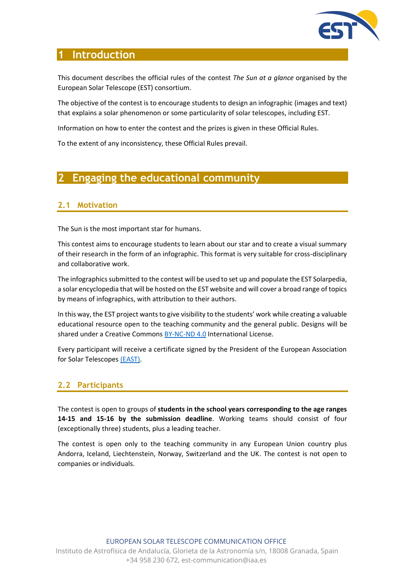

## **1 Introduction**

This document describes the official rules of the contest *The Sun at a glance* organised by the European Solar Telescope (EST) consortium.

The objective of the contest is to encourage students to design an infographic (images and text) that explains a solar phenomenon or some particularity of solar telescopes, including EST.

Information on how to enter the contest and the prizes is given in these Official Rules.

To the extent of any inconsistency, these Official Rules prevail.

# **2 Engaging the educational community**

#### **2.1 Motivation**

The Sun is the most important star for humans.

This contest aims to encourage students to learn about our star and to create a visual summary of their research in the form of an infographic. This format is very suitable for cross-disciplinary and collaborative work.

The infographics submitted to the contest will be used to set up and populate the EST Solarpedia, a solar encyclopedia that will be hosted on the EST website and will cover a broad range of topics by means of infographics, with attribution to their authors.

In this way, the EST project wants to give visibility to the students' work while creating a valuable educational resource open to the teaching community and the general public. Designs will be shared under a Creative Commons [BY-NC-ND 4.0](https://creativecommons.org/licenses/by-nc-nd/4.0/) International License.

Every participant will receive a certificate signed by the President of the European Association for Solar Telescopes [\(EAST\).](https://est-east.eu/east)

#### **2.2 Participants**

The contest is open to groups of **students in the school years corresponding to the age ranges 14-15 and 15-16 by the submission deadline**. Working teams should consist of four (exceptionally three) students, plus a leading teacher.

The contest is open only to the teaching community in any European Union country plus Andorra, Iceland, Liechtenstein, Norway, Switzerland and the UK. The contest is not open to companies or individuals.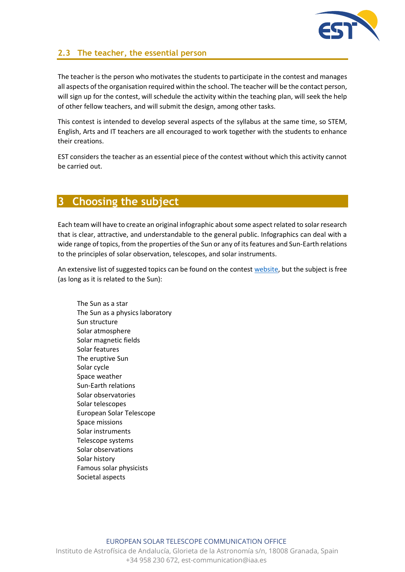

#### **2.3 The teacher, the essential person**

The teacher is the person who motivates the students to participate in the contest and manages all aspects of the organisation required within the school. The teacher will be the contact person, will sign up for the contest, will schedule the activity within the teaching plan, will seek the help of other fellow teachers, and will submit the design, among other tasks.

This contest is intended to develop several aspects of the syllabus at the same time, so STEM, English, Arts and IT teachers are all encouraged to work together with the students to enhance their creations.

EST considers the teacher as an essential piece of the contest without which this activity cannot be carried out.

#### **3 Choosing the subject**

Each team will have to create an original infographic about some aspect related to solar research that is clear, attractive, and understandable to the general public. Infographics can deal with a wide range of topics, from the properties of the Sun or any of its features and Sun-Earth relations to the principles of solar observation, telescopes, and solar instruments.

An extensive list of suggested topics can be found on the contest [website,](https://est-east.eu/topics-proposed) but the subject is free (as long as it is related to the Sun):

The Sun as a star The Sun as a physics laboratory Sun structure Solar atmosphere Solar magnetic fields Solar features The eruptive Sun Solar cycle Space weather Sun-Earth relations Solar observatories Solar telescopes European Solar Telescope Space missions Solar instruments Telescope systems Solar observations Solar history Famous solar physicists Societal aspects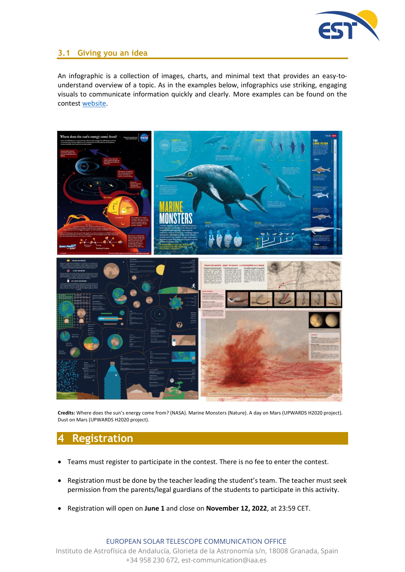

#### **3.1 Giving you an idea**

An infographic is a collection of images, charts, and minimal text that provides an easy-tounderstand overview of a topic. As in the examples below, infographics use striking, engaging visuals to communicate information quickly and clearly. More examples can be found on the contest [website.](https://est-east.eu/inspiration)



**Credits:** Where does the sun's energy come from? (NASA). Marine Monsters (Nature). A day on Mars (UPWARDS H2020 project). Dust on Mars (UPWARDS H2020 project).

# **4 Registration**

- Teams must register to participate in the contest. There is no fee to enter the contest.
- Registration must be done by the teacher leading the student's team. The teacher must seek permission from the parents/legal guardians of the students to participate in this activity.
- Registration will open on **June 1** and close on **November 12, 2022**, at 23:59 CET.

EUROPEAN SOLAR TELESCOPE COMMUNICATION OFFICE

Instituto de Astrofísica de Andalucía, Glorieta de la Astronomía s/n, 18008 Granada, Spain +34 958 230 672, est-communication@iaa.es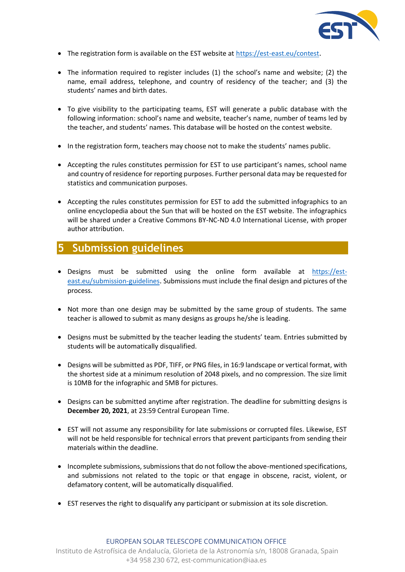

- The registration form is available on the EST website at<https://est-east.eu/contest>.
- The information required to register includes (1) the school's name and website; (2) the name, email address, telephone, and country of residency of the teacher; and (3) the students' names and birth dates.
- To give visibility to the participating teams, EST will generate a public database with the following information: school's name and website, teacher's name, number of teams led by the teacher, and students' names. This database will be hosted on the contest website.
- In the registration form, teachers may choose not to make the students' names public.
- Accepting the rules constitutes permission for EST to use participant's names, school name and country of residence for reporting purposes. Further personal data may be requested for statistics and communication purposes.
- Accepting the rules constitutes permission for EST to add the submitted infographics to an online encyclopedia about the Sun that will be hosted on the EST website. The infographics will be shared under a Creative Commons BY-NC-ND 4.0 International License, with proper author attribution.

# **5 Submission guidelines**

- Designs must be submitted using the online form available at [https://est](https://est-east.eu/submission-guidelines)[east.eu/submission-guidelines](https://est-east.eu/submission-guidelines). Submissions must include the final design and pictures of the process.
- Not more than one design may be submitted by the same group of students. The same teacher is allowed to submit as many designs as groups he/she is leading.
- Designs must be submitted by the teacher leading the students' team. Entries submitted by students will be automatically disqualified.
- Designs will be submitted as PDF, TIFF, or PNG files, in 16:9 landscape or vertical format, with the shortest side at a minimum resolution of 2048 pixels, and no compression. The size limit is 10MB for the infographic and 5MB for pictures.
- Designs can be submitted anytime after registration. The deadline for submitting designs is **December 20, 2021**, at 23:59 Central European Time.
- EST will not assume any responsibility for late submissions or corrupted files. Likewise, EST will not be held responsible for technical errors that prevent participants from sending their materials within the deadline.
- Incomplete submissions, submissions that do not follow the above-mentioned specifications, and submissions not related to the topic or that engage in obscene, racist, violent, or defamatory content, will be automatically disqualified.
- EST reserves the right to disqualify any participant or submission at its sole discretion.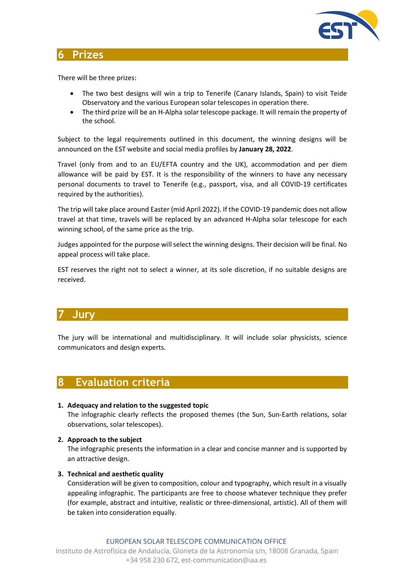

## **6 Prizes**

There will be three prizes:

- The two best designs will win a trip to Tenerife (Canary Islands, Spain) to visit Teide Observatory and the various European solar telescopes in operation there.
- The third prize will be an H-Alpha solar telescope package. It will remain the property of the school.

Subject to the legal requirements outlined in this document, the winning designs will be announced on the EST website and social media profiles by **January 28, 2022**.

Travel (only from and to an EU/EFTA country and the UK), accommodation and per diem allowance will be paid by EST. It is the responsibility of the winners to have any necessary personal documents to travel to Tenerife (e.g., passport, visa, and all COVID-19 certificates required by the authorities).

The trip will take place around Easter (mid April 2022). If the COVID-19 pandemic does not allow travel at that time, travels will be replaced by an advanced H-Alpha solar telescope for each winning school, of the same price as the trip.

Judges appointed for the purpose will select the winning designs. Their decision will be final. No appeal process will take place.

EST reserves the right not to select a winner, at its sole discretion, if no suitable designs are received.

# **7 Jury**

The jury will be international and multidisciplinary. It will include solar physicists, science communicators and design experts.

## **8 Evaluation criteria**

- **1. Adequacy and relation to the suggested topic**  The infographic clearly reflects the proposed themes (the Sun, Sun-Earth relations, solar observations, solar telescopes).
- **2. Approach to the subject** The infographic presents the information in a clear and concise manner and is supported by an attractive design.
- **3. Technical and aesthetic quality**

Consideration will be given to composition, colour and typography, which result in a visually appealing infographic. The participants are free to choose whatever technique they prefer (for example, abstract and intuitive, realistic or three-dimensional, artistic). All of them will be taken into consideration equally.

EUROPEAN SOLAR TELESCOPE COMMUNICATION OFFICE Instituto de Astrofísica de Andalucía, Glorieta de la Astronomía s/n, 18008 Granada, Spain +34 958 230 672, est-communication@iaa.es